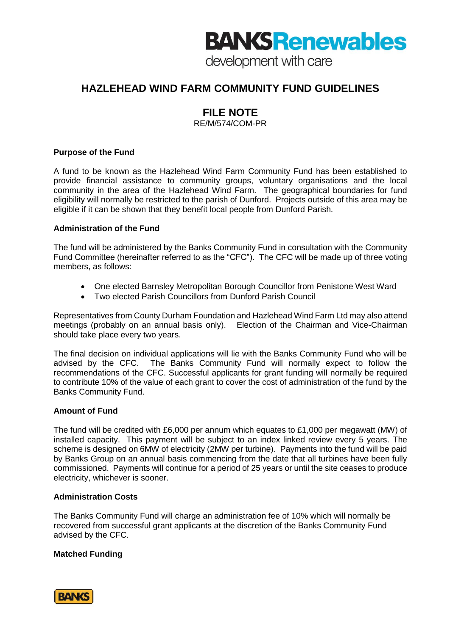# **BANKS Renewables**

development with care

# **HAZLEHEAD WIND FARM COMMUNITY FUND GUIDELINES**

# **FILE NOTE**

RE/M/574/COM-PR

## **Purpose of the Fund**

A fund to be known as the Hazlehead Wind Farm Community Fund has been established to provide financial assistance to community groups, voluntary organisations and the local community in the area of the Hazlehead Wind Farm. The geographical boundaries for fund eligibility will normally be restricted to the parish of Dunford. Projects outside of this area may be eligible if it can be shown that they benefit local people from Dunford Parish.

## **Administration of the Fund**

The fund will be administered by the Banks Community Fund in consultation with the Community Fund Committee (hereinafter referred to as the "CFC"). The CFC will be made up of three voting members, as follows:

- One elected Barnsley Metropolitan Borough Councillor from Penistone West Ward
- Two elected Parish Councillors from Dunford Parish Council

Representatives from County Durham Foundation and Hazlehead Wind Farm Ltd may also attend meetings (probably on an annual basis only). Election of the Chairman and Vice-Chairman should take place every two years.

The final decision on individual applications will lie with the Banks Community Fund who will be advised by the CFC. The Banks Community Fund will normally expect to follow the recommendations of the CFC. Successful applicants for grant funding will normally be required to contribute 10% of the value of each grant to cover the cost of administration of the fund by the Banks Community Fund.

## **Amount of Fund**

The fund will be credited with £6,000 per annum which equates to £1,000 per megawatt (MW) of installed capacity. This payment will be subject to an index linked review every 5 years. The scheme is designed on 6MW of electricity (2MW per turbine). Payments into the fund will be paid by Banks Group on an annual basis commencing from the date that all turbines have been fully commissioned. Payments will continue for a period of 25 years or until the site ceases to produce electricity, whichever is sooner.

## **Administration Costs**

The Banks Community Fund will charge an administration fee of 10% which will normally be recovered from successful grant applicants at the discretion of the Banks Community Fund advised by the CFC.

## **Matched Funding**

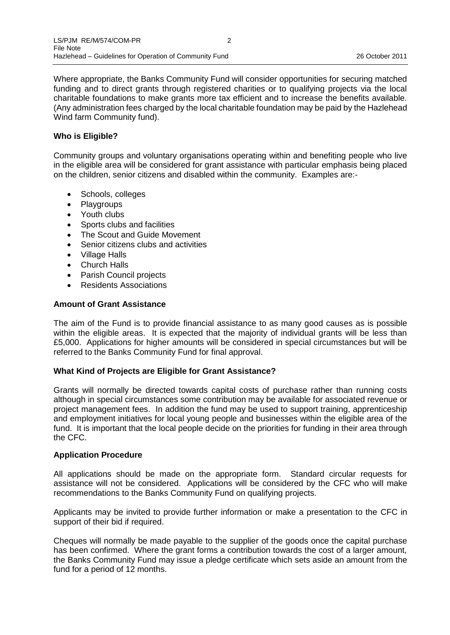Where appropriate, the Banks Community Fund will consider opportunities for securing matched funding and to direct grants through registered charities or to qualifying projects via the local charitable foundations to make grants more tax efficient and to increase the benefits available. (Any administration fees charged by the local charitable foundation may be paid by the Hazlehead Wind farm Community fund).

#### **Who is Eligible?**

Community groups and voluntary organisations operating within and benefiting people who live in the eligible area will be considered for grant assistance with particular emphasis being placed on the children, senior citizens and disabled within the community. Examples are:-

- Schools, colleges
- Playgroups
- Youth clubs
- Sports clubs and facilities
- The Scout and Guide Movement
- Senior citizens clubs and activities
- Village Halls
- Church Halls
- Parish Council projects
- Residents Associations

#### **Amount of Grant Assistance**

The aim of the Fund is to provide financial assistance to as many good causes as is possible within the eligible areas. It is expected that the majority of individual grants will be less than £5,000. Applications for higher amounts will be considered in special circumstances but will be referred to the Banks Community Fund for final approval.

#### **What Kind of Projects are Eligible for Grant Assistance?**

Grants will normally be directed towards capital costs of purchase rather than running costs although in special circumstances some contribution may be available for associated revenue or project management fees. In addition the fund may be used to support training, apprenticeship and employment initiatives for local young people and businesses within the eligible area of the fund. It is important that the local people decide on the priorities for funding in their area through the CFC.

#### **Application Procedure**

All applications should be made on the appropriate form. Standard circular requests for assistance will not be considered. Applications will be considered by the CFC who will make recommendations to the Banks Community Fund on qualifying projects.

Applicants may be invited to provide further information or make a presentation to the CFC in support of their bid if required.

Cheques will normally be made payable to the supplier of the goods once the capital purchase has been confirmed. Where the grant forms a contribution towards the cost of a larger amount, the Banks Community Fund may issue a pledge certificate which sets aside an amount from the fund for a period of 12 months.